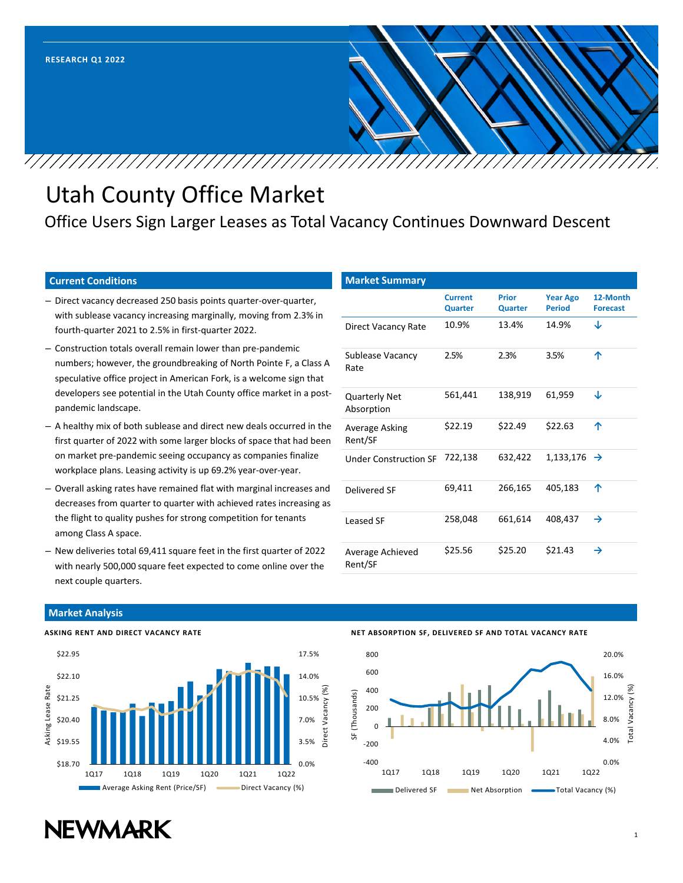# Utah County Office Market

Office Users Sign Larger Leases as Total Vacancy Continues Downward Descent

#### **Current Conditions**

- Direct vacancy decreased 250 basis points quarter‐over‐quarter, with sublease vacancy increasing marginally, moving from 2.3% in fourth‐quarter 2021 to 2.5% in first‐quarter 2022.
- Construction totals overall remain lower than pre‐pandemic numbers; however, the groundbreaking of North Pointe F, a Class A speculative office project in American Fork, is a welcome sign that developers see potential in the Utah County office market in a postpandemic landscape.
- A healthy mix of both sublease and direct new deals occurred in the first quarter of 2022 with some larger blocks of space that had been on market pre‐pandemic seeing occupancy as companies finalize workplace plans. Leasing activity is up 69.2% year‐over‐year.
- Overall asking rates have remained flat with marginal increases and decreases from quarter to quarter with achieved rates increasing as the flight to quality pushes for strong competition for tenants among Class A space.
- New deliveries total 69,411 square feet in the first quarter of 2022 with nearly 500,000 square feet expected to come online over the next couple quarters.

| <b>Market Summary</b>              |                                  |                                |                                  |                             |  |  |
|------------------------------------|----------------------------------|--------------------------------|----------------------------------|-----------------------------|--|--|
|                                    | <b>Current</b><br><b>Quarter</b> | <b>Prior</b><br><b>Quarter</b> | <b>Year Ago</b><br><b>Period</b> | 12-Month<br><b>Forecast</b> |  |  |
| Direct Vacancy Rate                | 10.9%                            | 13.4%                          | 14.9%                            | J                           |  |  |
| Sublease Vacancy<br>Rate           | 2.5%                             | 2.3%                           | 3.5%                             | 个                           |  |  |
| <b>Quarterly Net</b><br>Absorption | 561,441                          | 138,919                        | 61,959                           | ↓                           |  |  |
| Average Asking<br>Rent/SF          | \$22.19                          | \$22.49                        | \$22.63                          | 个                           |  |  |
| <b>Under Construction SF</b>       | 722,138                          | 632,422                        | 1,133,176                        | $\rightarrow$               |  |  |
| Delivered SF                       | 69,411                           | 266,165                        | 405,183                          | 个                           |  |  |
| <b>Leased SF</b>                   | 258,048                          | 661,614                        | 408,437                          | →                           |  |  |
| Average Achieved<br>Rent/SF        | \$25.56                          | \$25.20                        | \$21.43                          | →                           |  |  |

### **Market Analysis**



#### **NET ABSORPTION SF, DELIVERED SF AND TOTAL VACANCY RATE**



# **NEWMARK**

1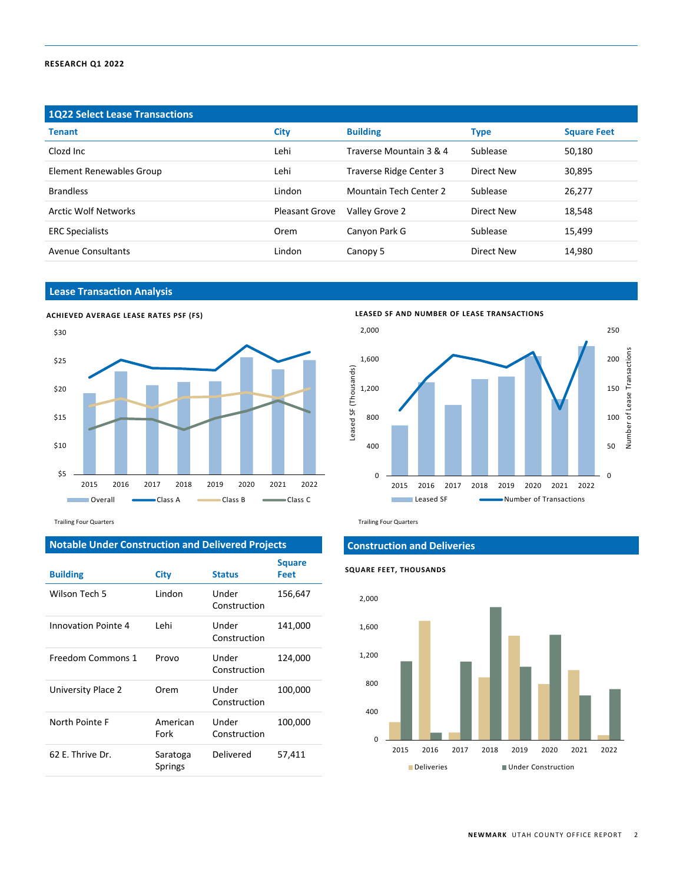#### **RESEARCH Q1 2022**

# **1Q22 Select Lease Transactions**

| <b>Tenant</b>             | City                  | <b>Building</b>               | <b>Type</b> | <b>Square Feet</b> |
|---------------------------|-----------------------|-------------------------------|-------------|--------------------|
| Clozd Inc.                | Lehi                  | Traverse Mountain 3 & 4       | Sublease    | 50,180             |
| Element Renewables Group  | Lehi                  | Traverse Ridge Center 3       | Direct New  | 30,895             |
| <b>Brandless</b>          | Lindon                | <b>Mountain Tech Center 2</b> | Sublease    | 26,277             |
| Arctic Wolf Networks      | <b>Pleasant Grove</b> | Valley Grove 2                | Direct New  | 18,548             |
| <b>ERC Specialists</b>    | Orem                  | Canyon Park G                 | Sublease    | 15,499             |
| <b>Avenue Consultants</b> | Lindon                | Canopy 5                      | Direct New  | 14,980             |
|                           |                       |                               |             |                    |

# **Lease Transaction Analysis**



Trailing Four Quarters Trailing Four Quarters

# **Notable Under Construction and Delivered Projects**

| <b>Building</b>     | <b>City</b>         | <b>Status</b>         | <b>Square</b><br>Feet |
|---------------------|---------------------|-----------------------|-----------------------|
| Wilson Tech 5       | Lindon              | Under<br>Construction | 156,647               |
| Innovation Pointe 4 | Lehi                | Under<br>Construction | 141,000               |
| Freedom Commons 1   | Provo               | Under<br>Construction | 124,000               |
| University Place 2  | Orem                | Under<br>Construction | 100,000               |
| North Pointe F      | American<br>Fork    | Under<br>Construction | 100,000               |
| 62 E. Thrive Dr.    | Saratoga<br>Springs | Delivered             | 57,411                |

**LEASED SF AND NUMBER OF LEASE TRANSACTIONS**



# **Construction and Deliveries**

#### **SQUARE FEET, THOUSANDS**

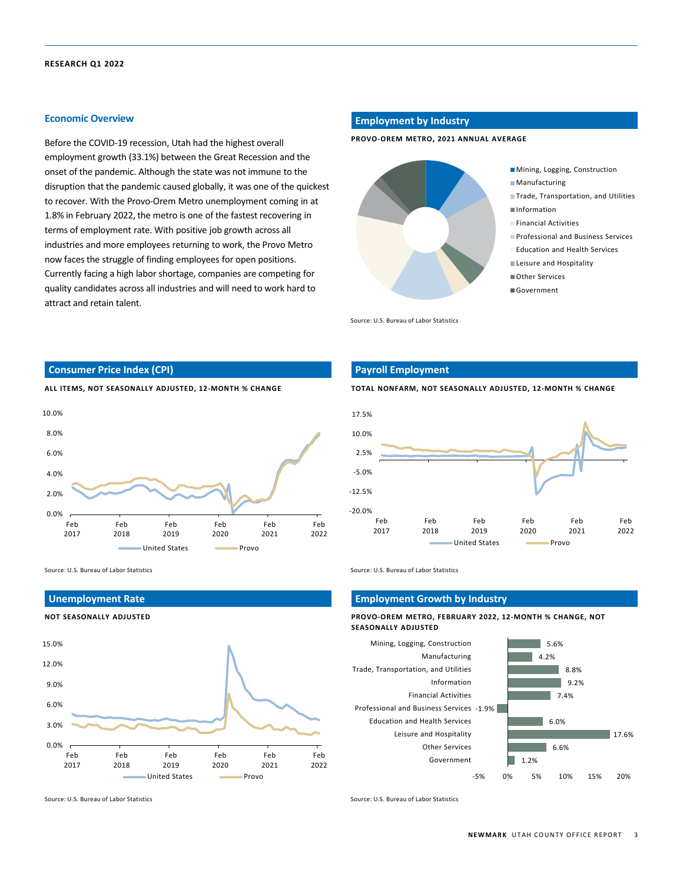#### **RESEARCH Q1 2022**

#### **Economic Overview**

Before the COVID‐19 recession, Utah had the highest overall employment growth (33.1%) between the Great Recession and the onset of the pandemic. Although the state was not immune to the disruption that the pandemic caused globally, it was one of the quickest to recover. With the Provo‐Orem Metro unemployment coming in at 1.8% in February 2022, the metro is one of the fastest recovering in terms of employment rate. With positive job growth across all industries and more employees returning to work, the Provo Metro now faces the struggle of finding employees for open positions. Currently facing a high labor shortage, companies are competing for quality candidates across all industries and will need to work hard to attract and retain talent.

#### **Employment by Industry**

**PROVO‐OREM METRO, 2021 ANNUAL AVERAGE**



Source: U.S. Bureau of Labor Statistics

#### **Consumer Price Index (CPI)**

**ALL ITEMS, NOT SEASONALLY ADJUSTED, 12‐MONTH % CHANGE**



Source: U.S. Bureau of Labor Statistics Source: U.S. Bureau of Labor Statistics Source: U.S. Bureau of Labor Statistics

#### **Unemployment Rate**

#### **NOT SEASONALLY ADJUSTED**



Source: U.S. Bureau of Labor Statistics Source: U.S. Bureau of Labor Statistics



Feb 2019

Feb 2020

United States **New Provo** 

Feb 2021

Feb 2022

Feb 2017

#### **Employment Growth by Industry**

Feb 2018

**PROVO‐OREM METRO, FEBRUARY 2022, 12‐MONTH % CHANGE, NOT SEASONALLY ADJUSTED**



**NEWMARK** UTAH COUNTY OFFICE REPORT 3

# **Payroll Employment**

**TOTAL NONFARM, NOT SEASONALLY ADJUSTED, 12‐MONTH % CHANGE**